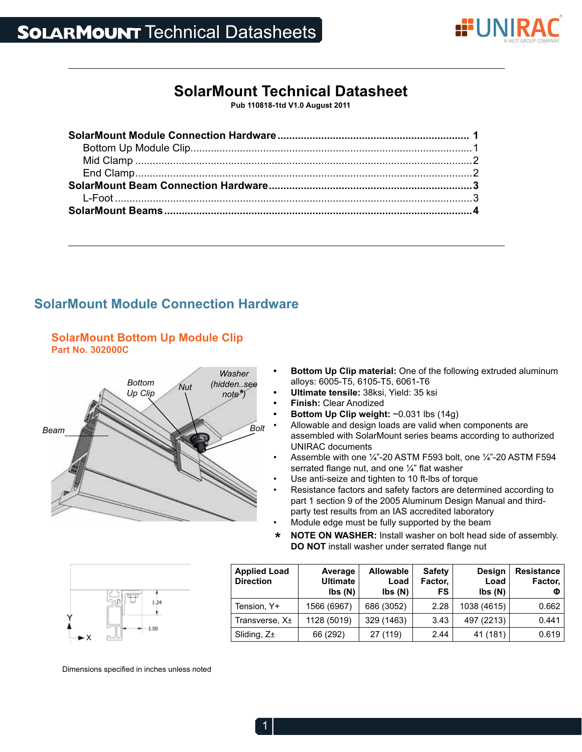

# **SolarMount Technical Datasheet**

**Pub 110818-1td V1.0 August 2011**

## **SolarMount Module Connection Hardware**



- **SolarMount Bottom Up Module Clip Part No. 302000C**
- **Bottom Up Clip material:** One of the following extruded aluminum alloys: 6005-T5, 6105-T5, 6061-T6
- **• Ultimate tensile:** 38ksi, Yield: 35 ksi
- **Finish: Clear Anodized**
- **Bottom Up Clip weight: ~0.031 lbs (14g)**
- Allowable and design loads are valid when components are assembled with SolarMount series beams according to authorized UNIRAC documents
- Assemble with one  $\frac{1}{4}$ "-20 ASTM F593 bolt, one  $\frac{1}{4}$ "-20 ASTM F594 serrated flange nut, and one ¼" flat washer
- Use anti-seize and tighten to 10 ft-lbs of torque
- Resistance factors and safety factors are determined according to part 1 section 9 of the 2005 Aluminum Design Manual and thirdparty test results from an IAS accredited laboratory
- Module edge must be fully supported by the beam
- *\** **NOTE ON WASHER:** Install washer on bolt head side of assembly. **DO NOT** install washer under serrated flange nut



| <b>Applied Load</b><br><b>Direction</b> | Average<br><b>Ultimate</b><br>$\mathsf{lbs}(\mathsf{N})$ | <b>Allowable</b><br>Load<br>$\mathsf{lbs}(\mathsf{N})$ | <b>Safety</b><br>Factor,<br><b>FS</b> | <b>Design</b><br>Load<br>$\mathsf{lbs}(\mathsf{N})$ | <b>Resistance</b><br>Factor,<br>Φ |
|-----------------------------------------|----------------------------------------------------------|--------------------------------------------------------|---------------------------------------|-----------------------------------------------------|-----------------------------------|
| Tension, Y+                             | 1566 (6967)                                              | 686 (3052)                                             | 2.28                                  | 1038 (4615)                                         | 0.662                             |
| Transverse, X±                          | 1128 (5019)                                              | 329 (1463)                                             | 3.43                                  | 497 (2213)                                          | 0.441                             |
| Sliding, $Z_{\pm}$                      | 66 (292)                                                 | 27 (119)                                               | 2.44                                  | 41 (181)                                            | 0.619                             |

Dimensions specified in inches unless noted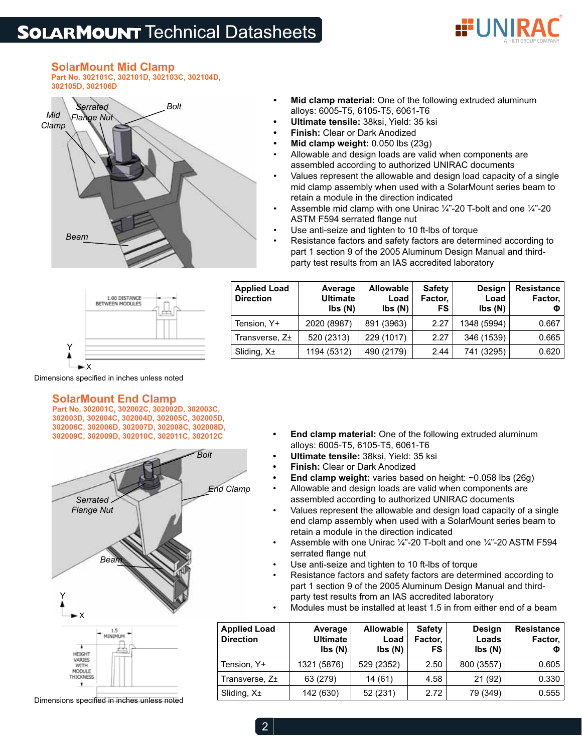# **SOLARMOUNT** Technical Datasheets



# **SolarMount Mid Clamp**

**Part No. 302101C, 302101D, 302103C, 302104D, 302105D, 302106D**



- **Mid clamp material:** One of the following extruded aluminum alloys: 6005-T5, 6105-T5, 6061-T6
- **• Ultimate tensile:** 38ksi, Yield: 35 ksi
- **Finish: Clear or Dark Anodized**
- **Mid clamp weight: 0.050 lbs (23g)**
- Allowable and design loads are valid when components are assembled according to authorized UNIRAC documents
- Values represent the allowable and design load capacity of a single mid clamp assembly when used with a SolarMount series beam to retain a module in the direction indicated
- Assemble mid clamp with one Unirac  $\frac{1}{4}$ -20 T-bolt and one  $\frac{1}{4}$ -20 ASTM F594 serrated flange nut
- Use anti-seize and tighten to 10 ft-lbs of torque
- Resistance factors and safety factors are determined according to part 1 section 9 of the 2005 Aluminum Design Manual and thirdparty test results from an IAS accredited laboratory



| <b>Ultimate</b><br>$\mathsf{lbs}(\mathsf{N})$ | <b>Resistance</b><br>Factor,<br>Φ |
|-----------------------------------------------|-----------------------------------|
| 2020 (8987)                                   | 0.667                             |
| 520 (2313)<br>Transverse, Z±                  | 0.665                             |
| 1194 (5312)                                   | 0.620                             |
|                                               |                                   |

Dimensions specified in inches unless noted

#### **SolarMount End Clamp**

**Part No. 302001C, 302002C, 302002D, 302003C, 302003D, 302004C, 302004D, 302005C, 302005D, 302006C, 302006D, 302007D, 302008C, 302008D, 302009C, 302009D, 302010C, 302011C, 302012C**



Dimensions specified in inches unless noted

- **End clamp material:** One of the following extruded aluminum alloys: 6005-T5, 6105-T5, 6061-T6
	- **• Ultimate tensile:** 38ksi, Yield: 35 ksi
- **Finish: Clear or Dark Anodized**
- **End clamp weight:** varies based on height: ~0.058 lbs (26g)
- Allowable and design loads are valid when components are assembled according to authorized UNIRAC documents
- Values represent the allowable and design load capacity of a single end clamp assembly when used with a SolarMount series beam to retain a module in the direction indicated
- Assemble with one Unirac  $\frac{1}{4}$  -20 T-bolt and one  $\frac{1}{4}$  -20 ASTM F594 serrated flange nut
- Use anti-seize and tighten to 10 ft-lbs of torque
- Resistance factors and safety factors are determined according to part 1 section 9 of the 2005 Aluminum Design Manual and thirdparty test results from an IAS accredited laboratory
- Modules must be installed at least 1.5 in from either end of a beam

| <b>Applied Load</b><br><b>Direction</b> | Average<br><b>Ultimate</b><br>Ibs(N) | <b>Allowable</b><br>Load<br>$\mathsf{lbs}(\mathsf{N})$ | <b>Safety</b><br>Factor,<br>FS | <b>Design</b><br>Loads<br>$\mathsf{Ibs}\left(\mathsf{N}\right)$ | <b>Resistance</b><br>Factor,<br>Φ |
|-----------------------------------------|--------------------------------------|--------------------------------------------------------|--------------------------------|-----------------------------------------------------------------|-----------------------------------|
| Tension, Y+                             | 1321 (5876)                          | 529 (2352)                                             | 2.50                           | 800 (3557)                                                      | 0.605                             |
| Transverse, Z+                          | 63 (279)                             | 14 (61)                                                | 4.58                           | 21(92)                                                          | 0.330                             |
| Sliding, $X_{\pm}$                      | 142 (630)                            | 52 (231)                                               | 2.72                           | 79 (349)                                                        | 0.555                             |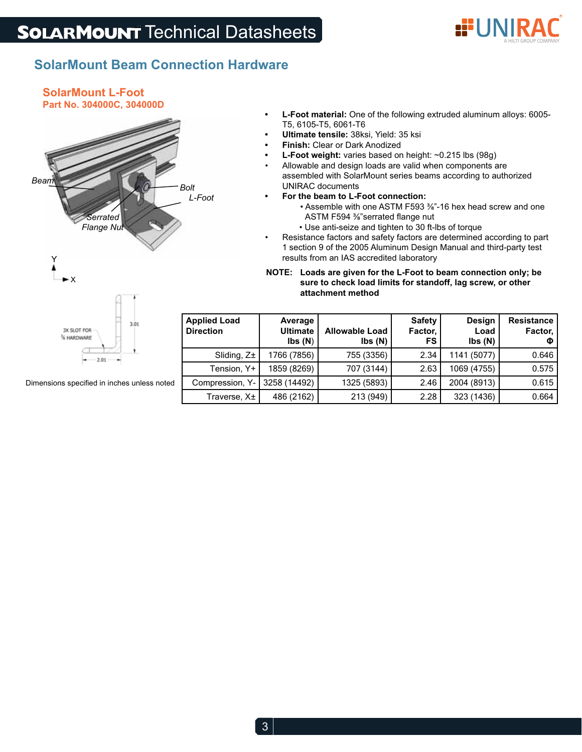

## **SolarMount Beam Connection Hardware**

#### **SolarMount L-Foot Part No. 304000C, 304000D**



- L-Foot material: One of the following extruded aluminum alloys: 6005-T5, 6105-T5, 6061-T6
- **• Ultimate tensile:** 38ksi, Yield: 35 ksi
- **Finish:** Clear or Dark Anodized
- **L-Foot weight:** varies based on height: ~0.215 lbs (98g)
- Allowable and design loads are valid when components are assembled with SolarMount series beams according to authorized UNIRAC documents
- **For the beam to L-Foot connection:** 
	- Assemble with one ASTM F593 3%"-16 hex head screw and one ASTM F594 %"serrated flange nut
	- Use anti-seize and tighten to 30 ft-lbs of torque
- • Resistance factors and safety factors are determined according to part 1 section 9 of the 2005 Aluminum Design Manual and third-party test results from an IAS accredited laboratory

#### **NOTE: Loads are given for the L-Foot to beam connection only; be sure to check load limits for standoff, lag screw, or other attachment method**

|   | <b>Applied Load</b><br><b>Direction</b> | Average<br><b>Ultimate</b><br>$\mathsf{lbs}(\mathsf{N})$ | <b>Allowable Load</b><br>lbs (N) | <b>Safety</b><br>Factor,<br>FS. | <b>Design</b><br>Load<br>$\mathsf{lbs}(\mathsf{N})$ | <b>Resistance</b><br>Factor,<br>Φ |
|---|-----------------------------------------|----------------------------------------------------------|----------------------------------|---------------------------------|-----------------------------------------------------|-----------------------------------|
|   | Sliding, $Z_{\pm}$                      | 1766 (7856)                                              | 755 (3356)                       | 2.34                            | 1141 (5077)                                         | 0.646                             |
|   | Tension, Y+                             | 1859 (8269)                                              | 707 (3144)                       | 2.63                            | 1069 (4755)                                         | 0.575                             |
| ų | Compression, Y-                         | 3258 (14492)                                             | 1325 (5893)                      | 2.46                            | 2004 (8913)                                         | 0.615                             |
|   | Traverse, X±                            | 486 (2162)                                               | 213 (949)                        | 2.28                            | 323 (1436)                                          | 0.664                             |

Dimensions specified in inches unless note

 $-2.01$ 

% HARDWARE